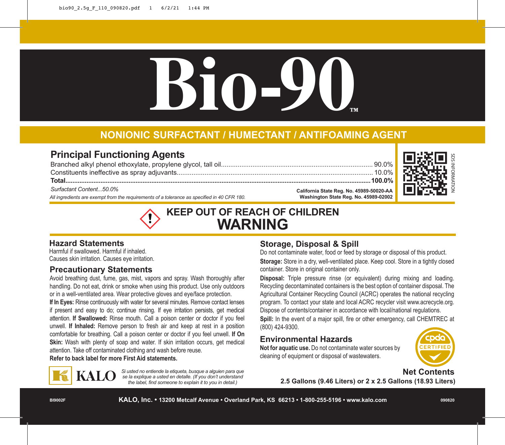# **Bio-90™**

# **NONIONIC SURFACTANT / HUMECTANT / ANTIFOAMING AGENT**

# **Principal Functioning Agents**

*All ingredients are exempt from the requirements of a tolerance as specified in 40 CFR 180.* Branched alkyl phenol ethoxylate, propylene glycol, tall oil.................................................................................. 90.0% Constituents ineffective as spray adjuvants.......................................................................................................... 10.0% **Total..............................................................................................................................................................................100.0%** *Surfactant Content...50.0%* **California State Reg. No. 45989-50020-AA Washington State Reg. No. 45989-02002**

> **KEEP OUT OF REACH OF CHILDREN WARNING**

## **Hazard Statements**

Harmful if swallowed. Harmful if inhaled. Causes skin irritation. Causes eye irritation.

### **Precautionary Statements**

Avoid breathing dust, fume, gas, mist, vapors and spray. Wash thoroughly after handling. Do not eat, drink or smoke when using this product. Use only outdoors or in a well-ventilated area. Wear protective gloves and eye/face protection.

**If In Eyes:** Rinse continuously with water for several minutes. Remove contact lenses if present and easy to do; continue rinsing. If eye irritation persists, get medical attention. **If Swallowed:** Rinse mouth. Call a poison center or doctor if you feel unwell. **If Inhaled:** Remove person to fresh air and keep at rest in a position comfortable for breathing. Call a poison center or doctor if you feel unwell. **If On Skin:** Wash with plenty of soap and water. If skin irritation occurs, get medical attention. Take off contaminated clothing and wash before reuse.

**Refer to back label for more First Aid statements.**



*Si usted no entiende la etiqueta, busque a alguien para que se la explique a usted en detalle. (If you don't understand the label, find someone to explain it to you in detail.)*

# **Storage, Disposal & Spill**

Do not contaminate water, food or feed by storage or disposal of this product. **Storage:** Store in a dry, well-ventilated place. Keep cool. Store in a tightly closed container. Store in original container only.

**Disposal:** Triple pressure rinse (or equivalent) during mixing and loading. Recycling decontaminated containers is the best option of container disposal. The Agricultural Container Recycling Council (ACRC) operates the national recycling program. To contact your state and local ACRC recycler visit www.acrecycle.org. Dispose of contents/container in accordance with local/national regulations.

**Spill:** In the event of a major spill, fire or other emergency, call CHEMTREC at (800) 424-9300.

# **Environmental Hazards**

**Not for aquatic use.** Do not contaminate water sources by cleaning of equipment or disposal of wastewaters.



### **Net Contents**

**2.5 Gallons (9.46 Liters) or 2 x 2.5 Gallons (18.93 Liters)**

**BI9002F**

SDS INFORMATION